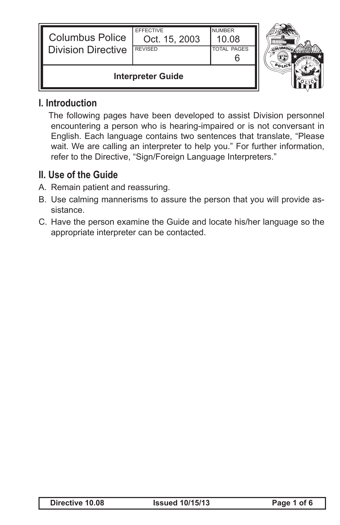| <b>Columbus Police</b><br><b>Division Directive</b> | <b>EFFECTIVE</b><br>Oct. 15, 2003<br><b>REVISED</b> | <b>NUMBER</b><br>10.08<br><b>TOTAL PAGES</b> |  |
|-----------------------------------------------------|-----------------------------------------------------|----------------------------------------------|--|
| <b>Interpreter Guide</b>                            |                                                     |                                              |  |

#### **I. Introduction**

 The following pages have been developed to assist Division personnel encountering a person who is hearing-impaired or is not conversant in English. Each language contains two sentences that translate, "Please wait. We are calling an interpreter to help you." For further information, refer to the Directive, "Sign/Foreign Language Interpreters."

#### **II. Use of the Guide**

- A. Remain patient and reassuring.
- B. Use calming mannerisms to assure the person that you will provide assistance.
- C. Have the person examine the Guide and locate his/her language so the appropriate interpreter can be contacted.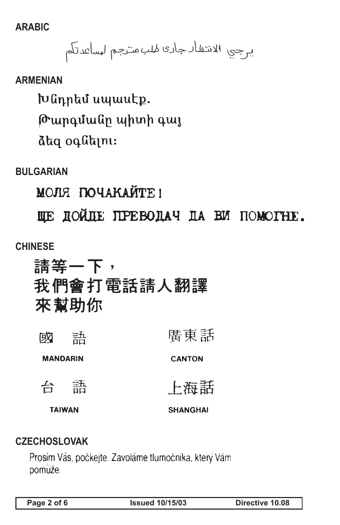**ARABIC**

يرجي الانتظار جارى لهلب منزجم لهساعدتكم

#### **ARMENIAN**

խնդրեմ սպասէք. Թարգմանը պիտի գայ dtq oqutini:

**BULGARIAN**

МОЛЯ ПОЧАКАЙТЕ!

HE HOMIE IIPEBODAY DA BM HOMOTHE.

#### **CHINESE**

請等一下, 我們會打電話請人翻譯 來幫助你

| 成             | 动<br>ōά         | 廣東話             |
|---------------|-----------------|-----------------|
|               | <b>MANDARIN</b> | <b>CANTON</b>   |
| 台             | 語               | 上海話             |
| <b>TAIWAN</b> |                 | <b>SHANGHAI</b> |

#### **CZECHOSLOVAK**

Prosím Vás, počkejte. Zavoláme tlumočníka, který Vám pomuže.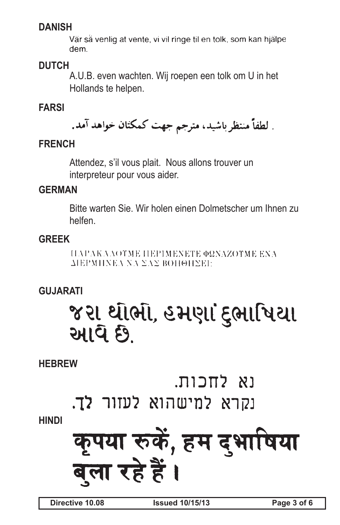# **DANISH**

Vär så venlig at vente, vi vil ringe til en tolk, som kan hjälpe dem.

# **DUTCH**

A.U.B. even wachten. Wij roepen een tolk om U in het Hollands te helpen.

# **FARSI**

. لطفاً منتظر باشيد، مترجم جهت كمكتان خواهد آمد.

# **FRENCH**

Attendez, s'il vous plait. Nous allons trouver un interpreteur pour vous aider.

# **GERMAN**

Bitte warten Sie. Wir holen einen Dolmetscher um Ihnen zu helfen.

# **GREEK**

ΠΑΡΑΚΛΛΟΥΜΕ ΠΕΡΙΜΕΝΕΤΕ ΦΩΝΑΖΟΥΜΕ ΕΝΑ ΔΙΕΡΜΗΝΕΛ ΝΑ ΣΑΣ ΒΟΗΘΗΣΕΙ:

# **GUJARATI**

# જરા ર્થાર્ભા, હમણાં દ્ભાષિયા આવે છે.

**HEBREW**

וא לחכות.

נקרא למישהוא לעזור לך.

# **HINDI**

# कुपया रुकें, हम दुभाषिया बला रहे हैं ।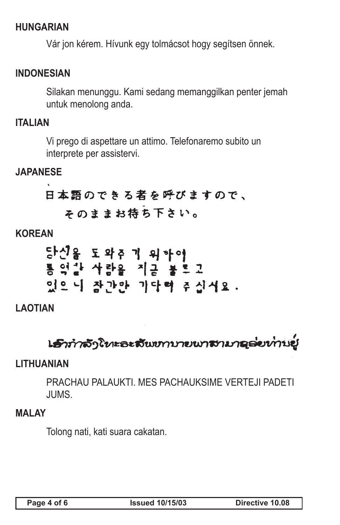# **HUNGARIAN**

Vár jon kérem. Hívunk egy tolmácsot hogy segítsen önnek.

# **INDONESIAN**

Silakan menunggu. Kami sedang memanggilkan penter jemah untuk menolong anda.

#### **ITALIAN**

Vi prego di aspettare un attimo. Telefonaremo subito un interprete per assistervi.

# **JAPANESE**

# 日本語のできる者を呼びますので、 そのままお待ち下さい。

# **KOREAN**

# **LAOTIAN**

# **เ***ร็***าทำจั**ງโทะละสั้นขาบายนาสามาคล่ยท่านยู่

# **LITHUANIAN**

PRACHAU PALAUKTI. MES PACHAUKSIME VERTEJI PADETI JUMS.

#### **MALAY**

Tolong nati, kati suara cakatan.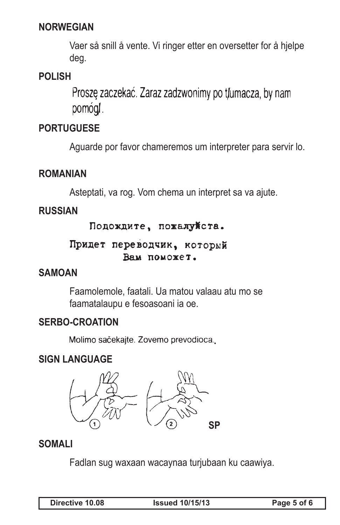# **NORWEGIAN**

Vaer så snill å vente. Vi ringer etter en oversetter for å hjelpe deg.

# **POLISH**

Proszę zaczekać. Zaraz zadzwonimy po tłumacza, by nam pomóg.

# **PORTUGUESE**

Aguarde por favor chameremos um interpreter para servir lo.

# **ROMANIAN**

Asteptati, va rog. Vom chema un interpret sa va ajute.

# **RUSSIAN**

# Подождите, пожалуйста.

# Придет переводчик, который Вам поможет.

# **SAMOAN**

Faamolemole, faatali. Ua matou valaau atu mo se faamatalaupu e fesoasoani ia oe.

# **SERBO-CROATION**

Molimo sačekajte. Zovemo prevodioca.

# **SIGN LANGUAGE**



# **SOMALI**

Fadlan sug waxaan wacaynaa turjubaan ku caawiya.